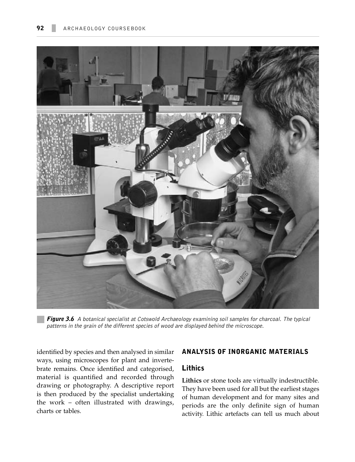

 **Figure 3.6** A botanical specialist at Cotswold Archaeology examining soil samples for charcoal. The typical patterns in the grain of the different species of wood are displayed behind the microscope.

identified by species and then analysed in similar ways, using microscopes for plant and invertebrate remains. Once identified and categorised, material is quantified and recorded through drawing or photography. A descriptive report is then produced by the specialist undertaking the work – often illustrated with drawings, charts or tables.

#### **ANALYSIS OF INORGANIC MATERIALS**

# **Lithics**

**Lithics** or stone tools are virtually indestructible. They have been used for all but the earliest stages of human development and for many sites and periods are the only definite sign of human activity. Lithic artefacts can tell us much about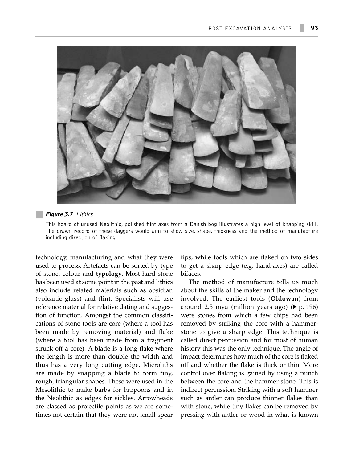

#### **Figure 3.7** Lithics

n

This hoard of unused Neolithic, polished flint axes from a Danish bog illustrates a high level of knapping skill. The drawn record of these daggers would aim to show size, shape, thickness and the method of manufacture including direction of flaking.

technology, manufacturing and what they were used to process. Artefacts can be sorted by type of stone, colour and **typology**. Most hard stone has been used at some point in the past and lithics also include related materials such as obsidian (volcanic glass) and flint. Specialists will use reference material for relative dating and suggestion of function. Amongst the common classifications of stone tools are core (where a tool has been made by removing material) and flake (where a tool has been made from a fragment struck off a core). A blade is a long flake where the length is more than double the width and thus has a very long cutting edge. Microliths are made by snapping a blade to form tiny, rough, triangular shapes. These were used in the Mesolithic to make barbs for harpoons and in the Neolithic as edges for sickles. Arrowheads are classed as projectile points as we are sometimes not certain that they were not small spear

tips, while tools which are flaked on two sides to get a sharp edge (e.g. hand-axes) are called bifaces.

The method of manufacture tells us much about the skills of the maker and the technology involved. The earliest tools (**Oldowan**) from around 2.5 mya (million years ago) ( $\blacktriangleright$  p. 196) were stones from which a few chips had been removed by striking the core with a hammerstone to give a sharp edge. This technique is called direct percussion and for most of human history this was the only technique. The angle of impact determines how much of the core is flaked off and whether the flake is thick or thin. More control over flaking is gained by using a punch between the core and the hammer-stone. This is indirect percussion. Striking with a soft hammer such as antler can produce thinner flakes than with stone, while tiny flakes can be removed by pressing with antler or wood in what is known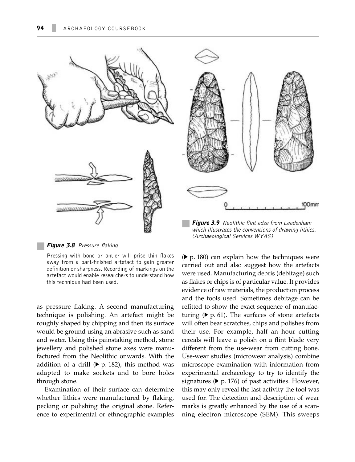



**Figure 3.9** Neolithic flint adze from Leadenham which illustrates the conventions of drawing lithics. (Archaeological Services WYAS)

**Figure 3.8** Pressure flaking

n

Pressing with bone or antler will prise thin flakes away from a part-finished artefact to gain greater definition or sharpness. Recording of markings on the artefact would enable researchers to understand how this technique had been used.

as pressure flaking. A second manufacturing technique is polishing. An artefact might be roughly shaped by chipping and then its surface would be ground using an abrasive such as sand and water. Using this painstaking method, stone jewellery and polished stone axes were manufactured from the Neolithic onwards. With the addition of a drill ( $\blacktriangleright$  p. 182), this method was adapted to make sockets and to bore holes through stone.

Examination of their surface can determine whether lithics were manufactured by flaking, pecking or polishing the original stone. Reference to experimental or ethnographic examples

 $(\triangleright p. 180)$  can explain how the techniques were carried out and also suggest how the artefacts were used. Manufacturing debris (debitage) such as flakes or chips is of particular value. It provides evidence of raw materials, the production process and the tools used. Sometimes debitage can be refitted to show the exact sequence of manufacturing ( $\blacktriangleright$  p. 61). The surfaces of stone artefacts will often bear scratches, chips and polishes from their use. For example, half an hour cutting cereals will leave a polish on a flint blade very different from the use-wear from cutting bone. Use-wear studies (microwear analysis) combine microscope examination with information from experimental archaeology to try to identify the signatures ( $\blacktriangleright$  p. 176) of past activities. However, this may only reveal the last activity the tool was used for. The detection and description of wear marks is greatly enhanced by the use of a scanning electron microscope (SEM). This sweeps